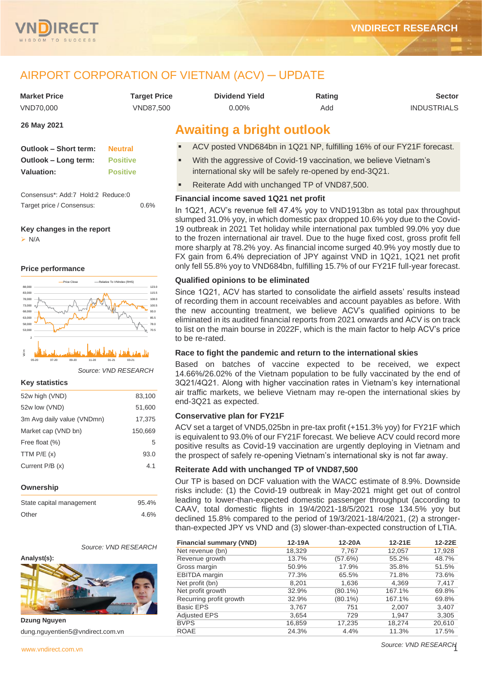

## AIRPORT CORPORATION OF VIETNAM (ACV) ─ UPDATE

| <b>Market Price</b>          | <b>Target Price</b>              | <b>Dividend Yield</b>                                                 | <b>Sector</b> |                    |  |  |  |  |  |
|------------------------------|----------------------------------|-----------------------------------------------------------------------|---------------|--------------------|--|--|--|--|--|
| VND70.000                    | VND87.500                        | $0.00\%$                                                              | Add           | <b>INDUSTRIALS</b> |  |  |  |  |  |
| 26 May 2021                  | <b>Awaiting a bright outlook</b> |                                                                       |               |                    |  |  |  |  |  |
| <b>Outlook - Short term:</b> | <b>Neutral</b>                   | ACV posted VND684bn in 1Q21 NP, fulfilling 16% of our FY21F forecast. |               |                    |  |  |  |  |  |

| <b>Outlook - Short term:</b> | <b>Neutral</b>  |
|------------------------------|-----------------|
| Outlook – Long term:         | <b>Positive</b> |
| <b>Valuation:</b>            | <b>Positive</b> |

Consensus\*: Add:7 Hold:2 Reduce:0 Target price / Consensus: 0.6%

#### **Key changes in the report**

➢ N/A

#### **Price performance**



*Source: VND RESEARCH*

#### **Key statistics**

| 52w high (VND)             | 83,100  |
|----------------------------|---------|
| 52w low (VND)              | 51,600  |
| 3m Avg daily value (VNDmn) | 17,375  |
| Market cap (VND bn)        | 150,669 |
| Free float (%)             | 5       |
| TTM $P/E(x)$               | 93.0    |
| Current $P/B(x)$           | 4.1     |
|                            |         |

#### **Ownership**

| State capital management | 95.4% |
|--------------------------|-------|
| Other                    | 4.6%  |

*Source: VND RESEARCH*

#### **Analyst(s):**



**Dzung Nguyen** dung.nguyentien5@vndirect.com.vn

| <b>Dividend Yield</b> |  |
|-----------------------|--|
| $0.00\%$              |  |

## **Awaiting a bright outlook**

- ACV posted VND684bn in 1Q21 NP, fulfilling 16% of our FY21F forecast.
- With the aggressive of Covid-19 vaccination, we believe Vietnam's international sky will be safely re-opened by end-3Q21.
- Reiterate Add with unchanged TP of VND87,500.

#### **Financial income saved 1Q21 net profit**

In 1Q21, ACV's revenue fell 47.4% yoy to VND1913bn as total pax throughput slumped 31.0% yoy, in which domestic pax dropped 10.6% yoy due to the Covid-19 outbreak in 2021 Tet holiday while international pax tumbled 99.0% yoy due to the frozen international air travel. Due to the huge fixed cost, gross profit fell more sharply at 78.2% yoy. As financial income surged 40.9% yoy mostly due to FX gain from 6.4% depreciation of JPY against VND in 1Q21, 1Q21 net profit only fell 55.8% yoy to VND684bn, fulfilling 15.7% of our FY21F full-year forecast.

#### **Qualified opinions to be eliminated**

Since 1Q21, ACV has started to consolidate the airfield assets' results instead of recording them in account receivables and account payables as before. With the new accounting treatment, we believe ACV's qualified opinions to be eliminated in its audited financial reports from 2021 onwards and ACV is on track to list on the main bourse in 2022F, which is the main factor to help ACV's price to be re-rated.

#### **Race to fight the pandemic and return to the international skies**

Based on batches of vaccine expected to be received, we expect 14.66%/26.02% of the Vietnam population to be fully vaccinated by the end of 3Q21/4Q21. Along with higher vaccination rates in Vietnam's key international air traffic markets, we believe Vietnam may re-open the international skies by end-3Q21 as expected.

#### **Conservative plan for FY21F**

ACV set a target of VND5,025bn in pre-tax profit (+151.3% yoy) for FY21F which is equivalent to 93.0% of our FY21F forecast. We believe ACV could record more positive results as Covid-19 vaccination are urgently deploying in Vietnam and the prospect of safely re-opening Vietnam's international sky is not far away.

#### **Reiterate Add with unchanged TP of VND87,500**

Our TP is based on DCF valuation with the WACC estimate of 8.9%. Downside risks include: (1) the Covid-19 outbreak in May-2021 might get out of control leading to lower-than-expected domestic passenger throughput (according to CAAV, total domestic flights in 19/4/2021-18/5/2021 rose 134.5% yoy but declined 15.8% compared to the period of 19/3/2021-18/4/2021, (2) a strongerthan-expected JPY vs VND and (3) slower-than-expected construction of LTIA.

| <b>Financial summary (VND)</b> | 12-19A | 12-20A     | 12-21E | 12-22E |
|--------------------------------|--------|------------|--------|--------|
| Net revenue (bn)               | 18,329 | 7,767      | 12,057 | 17,928 |
| Revenue growth                 | 13.7%  | (57.6%)    | 55.2%  | 48.7%  |
| Gross margin                   | 50.9%  | 17.9%      | 35.8%  | 51.5%  |
| <b>EBITDA</b> margin           | 77.3%  | 65.5%      | 71.8%  | 73.6%  |
| Net profit (bn)                | 8,201  | 1,636      | 4,369  | 7,417  |
| Net profit growth              | 32.9%  | $(80.1\%)$ | 167.1% | 69.8%  |
| Recurring profit growth        | 32.9%  | $(80.1\%)$ | 167.1% | 69.8%  |
| <b>Basic EPS</b>               | 3,767  | 751        | 2,007  | 3,407  |
| <b>Adjusted EPS</b>            | 3,654  | 729        | 1,947  | 3,305  |
| <b>BVPS</b>                    | 16,859 | 17,235     | 18,274 | 20,610 |
| <b>ROAE</b>                    | 24.3%  | 4.4%       | 11.3%  | 17.5%  |

*Source: VND RESEARCH*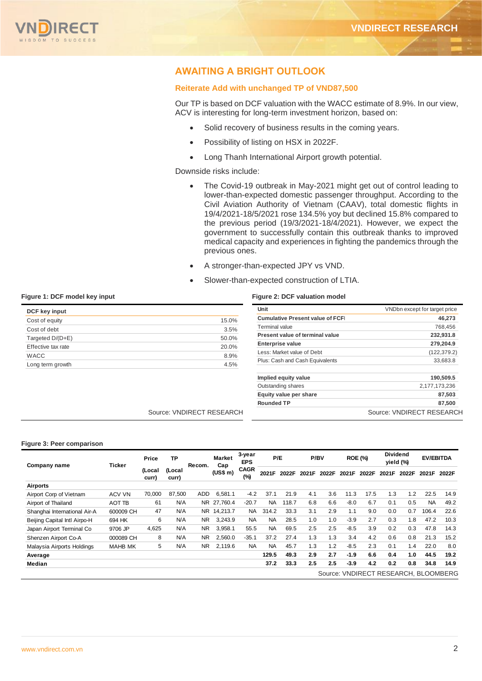

## **AWAITING A BRIGHT OUTLOOK**

#### **Reiterate Add with unchanged TP of VND87,500**

Our TP is based on DCF valuation with the WACC estimate of 8.9%. In our view, ACV is interesting for long-term investment horizon, based on:

- Solid recovery of business results in the coming years.
- Possibility of listing on HSX in 2022F.
- Long Thanh International Airport growth potential.

Downside risks include:

- The Covid-19 outbreak in May-2021 might get out of control leading to lower-than-expected domestic passenger throughput. According to the Civil Aviation Authority of Vietnam (CAAV), total domestic flights in 19/4/2021-18/5/2021 rose 134.5% yoy but declined 15.8% compared to the previous period (19/3/2021-18/4/2021). However, we expect the government to successfully contain this outbreak thanks to improved medical capacity and experiences in fighting the pandemics through the previous ones.
- A stronger-than-expected JPY vs VND.
- Slower-than-expected construction of LTIA.

| DCF key input      |       |
|--------------------|-------|
| Cost of equity     | 15.0% |
| Cost of debt       | 3.5%  |
| Targeted D/(D+E)   | 50.0% |
| Effective tax rate | 20.0% |
| <b>WACC</b>        | 8.9%  |
| Long term growth   | 4.5%  |

#### **Figure 1: DCF model key input Figure 2: DCF valuation model**

| Unit                                    | VNDbn except for target price |
|-----------------------------------------|-------------------------------|
| <b>Cumulative Present value of FCFI</b> | 46.273                        |
| Terminal value                          | 768,456                       |
| Present value of terminal value         | 232,931.8                     |
| <b>Enterprise value</b>                 | 279,204.9                     |
| Less: Market value of Debt              | (122, 379.2)                  |
| Plus: Cash and Cash Equivalents         | 33,683.8                      |
| Implied equity value                    | 190,509.5                     |
| Outstanding shares                      | 2,177,173,236                 |
| Equity value per share                  | 87,503                        |
| <b>Rounded TP</b>                       | 87,500                        |
|                                         | Source: VNDIRECT RESEARCH     |

Source: VNDIRECT RESEARCH

#### **Figure 3: Peer comparison**

| Company name                         | Ticker         | Price           | <b>TP</b>       | Recom.     | Market<br>Cap | 3-year<br><b>EPS</b> |           | P/E   |       | P/BV  |        | <b>ROE (%)</b> |       | <b>Dividend</b><br><b>EV/EBITDA</b><br>yield (%) |           |       |
|--------------------------------------|----------------|-----------------|-----------------|------------|---------------|----------------------|-----------|-------|-------|-------|--------|----------------|-------|--------------------------------------------------|-----------|-------|
|                                      |                | (Local<br>curr) | (Local<br>curr) |            | (US\$ m)      | <b>CAGR</b><br>(%)   | 2021F     | 2022F | 2021F | 2022F | 2021F  | 2022F          | 2021F | 2022F                                            | 2021F     | 2022F |
| <b>Airports</b>                      |                |                 |                 |            |               |                      |           |       |       |       |        |                |       |                                                  |           |       |
| Airport Corp of Vietnam              | ACV VN         | 70,000          | 87.500          | <b>ADD</b> | 6.581.1       | $-4.2$               | 37.1      | 21.9  | 4.1   | 3.6   | 11.3   | 17.5           | 1.3   | 1.2                                              | 22.5      | 14.9  |
| Airport of Thailand                  | AOT TB         | 61              | N/A             |            | NR 27.760.4   | $-20.7$              | <b>NA</b> | 118.7 | 6.8   | 6.6   | $-8.0$ | 6.7            | 0.1   | 0.5                                              | <b>NA</b> | 49.2  |
| Shanghai International Air-A         | 600009 CH      | 47              | N/A             |            | NR 14.213.7   | <b>NA</b>            | 314.2     | 33.3  | 3.1   | 2.9   | 1.1    | 9.0            | 0.0   | 0.7                                              | 106.4     | 22.6  |
| Beijing Capital Intl Airpo-H         | 694 HK         | 6               | N/A             | NR.        | 3,243.9       | <b>NA</b>            | <b>NA</b> | 28.5  | 1.0   | 1.0   | $-3.9$ | 2.7            | 0.3   | 1.8                                              | 47.2      | 10.3  |
| Japan Airport Terminal Co            | 9706 JP        | 4,625           | N/A             | NR.        | 3.958.1       | 55.5                 | <b>NA</b> | 69.5  | 2.5   | 2.5   | $-8.5$ | 3.9            | 0.2   | 0.3                                              | 47.8      | 14.3  |
| Shenzen Airport Co-A                 | 000089 CH      | 8               | N/A             | <b>NR</b>  | 2,560.0       | $-35.1$              | 37.2      | 27.4  | 1.3   | 1.3   | 3.4    | 4.2            | 0.6   | 0.8                                              | 21.3      | 15.2  |
| Malaysia Airports Holdings           | <b>MAHB MK</b> | 5               | N/A             | NR.        | 2.119.6       | <b>NA</b>            | <b>NA</b> | 45.7  | 1.3   | 1.2   | $-8.5$ | 2.3            | 0.1   | 1.4                                              | 22.0      | 8.0   |
| Average                              |                |                 |                 |            |               |                      | 129.5     | 49.3  | 2.9   | 2.7   | $-1.9$ | 6.6            | 0.4   | 1.0                                              | 44.5      | 19.2  |
| Median                               |                |                 |                 |            |               |                      | 37.2      | 33.3  | 2.5   | 2.5   | $-3.9$ | 4.2            | 0.2   | 0.8                                              | 34.8      | 14.9  |
| Source: VNDIRECT RESEARCH, BLOOMBERG |                |                 |                 |            |               |                      |           |       |       |       |        |                |       |                                                  |           |       |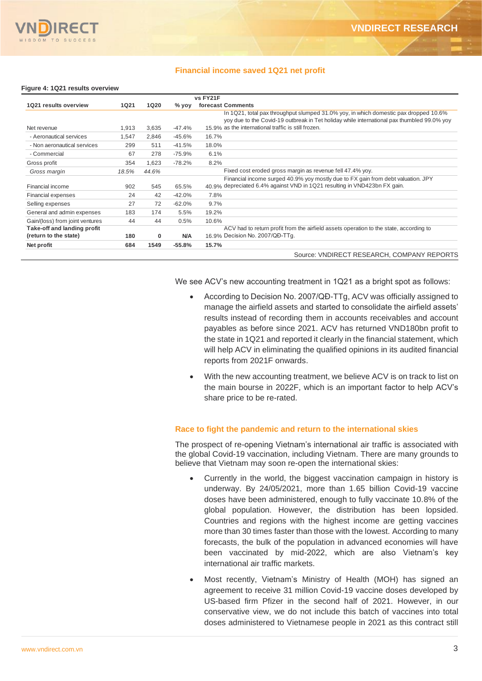

#### **Financial income saved 1Q21 net profit**

#### **Figure 4: 1Q21 results overview**

|                                 |             |             |          | vs FY21F                                                                                                                                                                           |
|---------------------------------|-------------|-------------|----------|------------------------------------------------------------------------------------------------------------------------------------------------------------------------------------|
| 1Q21 results overview           | <b>1Q21</b> | <b>1Q20</b> | % yoy    | forecast Comments                                                                                                                                                                  |
|                                 |             |             |          | In 1Q21, total pax throughput slumped 31.0% yoy, in which domestic pax dropped 10.6%<br>yoy due to the Covid-19 outbreak in Tet holiday while international pax thumbled 99.0% yoy |
| Net revenue                     | 1,913       | 3,635       | $-47.4%$ | 15.9% as the international traffic is still frozen.                                                                                                                                |
| - Aeronautical services         | 1,547       | 2,846       | $-45.6%$ | 16.7%                                                                                                                                                                              |
| - Non aeronautical services     | 299         | 511         | $-41.5%$ | 18.0%                                                                                                                                                                              |
| - Commercial                    | 67          | 278         | $-75.9%$ | 6.1%                                                                                                                                                                               |
| Gross profit                    | 354         | 1,623       | $-78.2%$ | 8.2%                                                                                                                                                                               |
| Gross margin                    | 18.5%       | 44.6%       |          | Fixed cost eroded gross margin as revenue fell 47.4% yoy.                                                                                                                          |
|                                 |             |             |          | Financial income surged 40.9% yoy mostly due to FX gain from debt valuation. JPY                                                                                                   |
| Financial income                | 902         | 545         | 65.5%    | 40.9% depreciated 6.4% against VND in 1Q21 resulting in VND423bn FX gain.                                                                                                          |
| <b>Financial expenses</b>       | 24          | 42          | $-42.0%$ | 7.8%                                                                                                                                                                               |
| Selling expenses                | 27          | 72          | $-62.0%$ | 9.7%                                                                                                                                                                               |
| General and admin expenses      | 183         | 174         | 5.5%     | 19.2%                                                                                                                                                                              |
| Gain/(loss) from joint ventures | 44          | 44          | 0.5%     | 10.6%                                                                                                                                                                              |
| Take-off and landing profit     |             |             |          | ACV had to return profit from the airfield assets operation to the state, according to                                                                                             |
| (return to the state)           | 180         | 0           | N/A      | 16.9% Decision No. 2007/QD-TTq.                                                                                                                                                    |
| Net profit                      | 684         | 1549        | $-55.8%$ | 15.7%                                                                                                                                                                              |
|                                 |             |             |          | Source: VNDIRECT RESEARCH, COMPANY REPORTS                                                                                                                                         |

We see ACV's new accounting treatment in 1Q21 as a bright spot as follows:

- According to Decision No. 2007/QĐ-TTg, ACV was officially assigned to manage the airfield assets and started to consolidate the airfield assets' results instead of recording them in accounts receivables and account payables as before since 2021. ACV has returned VND180bn profit to the state in 1Q21 and reported it clearly in the financial statement, which will help ACV in eliminating the qualified opinions in its audited financial reports from 2021F onwards.
- With the new accounting treatment, we believe ACV is on track to list on the main bourse in 2022F, which is an important factor to help ACV's share price to be re-rated.

### **Race to fight the pandemic and return to the international skies**

The prospect of re-opening Vietnam's international air traffic is associated with the global Covid-19 vaccination, including Vietnam. There are many grounds to believe that Vietnam may soon re-open the international skies:

- Currently in the world, the biggest vaccination campaign in history is underway. By 24/05/2021, more than 1.65 billion Covid-19 vaccine doses have been administered, enough to fully vaccinate 10.8% of the global population. However, the distribution has been lopsided. Countries and regions with the highest income are getting vaccines more than 30 times faster than those with the lowest. According to many forecasts, the bulk of the population in advanced economies will have been vaccinated by mid-2022, which are also Vietnam's key international air traffic markets.
- Most recently, Vietnam's Ministry of Health (MOH) has signed an agreement to receive 31 million Covid-19 vaccine doses developed by US-based firm Pfizer in the second half of 2021. However, in our conservative view, we do not include this batch of vaccines into total doses administered to Vietnamese people in 2021 as this contract still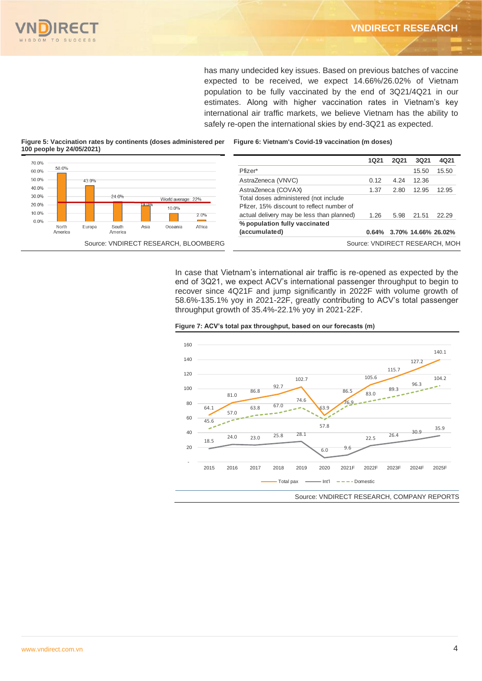

has many undecided key issues. Based on previous batches of vaccine expected to be received, we expect 14.66%/26.02% of Vietnam population to be fully vaccinated by the end of 3Q21/4Q21 in our estimates. Along with higher vaccination rates in Vietnam's key international air traffic markets, we believe Vietnam has the ability to safely re-open the international skies by end-3Q21 as expected.

**Figure 6: Vietnam's Covid-19 vaccination (m doses)**

**Figure 5: Vaccination rates by continents (doses administered per 100 people by 24/05/2021)**

| 70.0% |         |        |         |       |                    |                                      |                                           | <b>1Q21</b> | 2Q21 | 3Q21  | 4Q21                           |
|-------|---------|--------|---------|-------|--------------------|--------------------------------------|-------------------------------------------|-------------|------|-------|--------------------------------|
| 60.0% | 58.0%   |        |         |       |                    |                                      | Pfizer*                                   |             |      | 15.50 | 15.50                          |
| 50.0% |         | 43.0%  |         |       |                    |                                      | AstraZeneca (VNVC)                        | 0.12        | 4.24 | 12.36 |                                |
| 40.0% |         |        |         |       |                    |                                      | AstraZeneca (COVAX)                       | 1.37        | 2.80 | 12.95 | 12.95                          |
| 30.0% |         |        | 24.0%   |       | World average: 22% |                                      | Total doses administered (not include     |             |      |       |                                |
| 20.0% |         |        |         | 19 0% | 10 0%              |                                      | Pfizer, 15% discount to reflect number of |             |      |       |                                |
| 10.0% |         |        |         |       |                    | 2.0%                                 | actual delivery may be less than planned) | 1.26        | 5.98 | 21.51 | 22.29                          |
| 0.0%  | North   | Europe | South   | Asia  | Oceania            | Africa                               | % population fully vaccinated             |             |      |       |                                |
|       | America |        | America |       |                    |                                      | (accumulated)                             |             |      |       | 0.64% 3.70% 14.66% 26.02%      |
|       |         |        |         |       |                    | Source: VNDIRECT RESEARCH, BLOOMBERG |                                           |             |      |       | Source: VNDIRECT RESEARCH, MOH |

In case that Vietnam's international air traffic is re-opened as expected by the end of 3Q21, we expect ACV's international passenger throughput to begin to recover since 4Q21F and jump significantly in 2022F with volume growth of 58.6%-135.1% yoy in 2021-22F, greatly contributing to ACV's total passenger throughput growth of 35.4%-22.1% yoy in 2021-22F.





Source: VNDIRECT RESEARCH, COMPANY REPORTS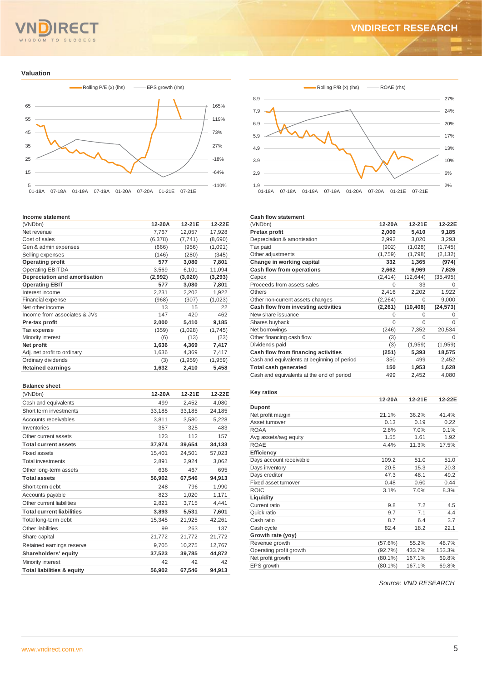# SDOM TO SUCCESS

## **VNDIRECT RESEARCH**

**Valuation**



#### **Income statement**

| (VNDbn)                       | 12-20A  | 12-21E   | 12-22E  |
|-------------------------------|---------|----------|---------|
| Net revenue                   | 7,767   | 12,057   | 17,928  |
| Cost of sales                 | (6,378) | (7, 741) | (8,690) |
| Gen & admin expenses          | (666)   | (956)    | (1,091) |
| Selling expenses              | (146)   | (280)    | (345)   |
| <b>Operating profit</b>       | 577     | 3,080    | 7,801   |
| <b>Operating EBITDA</b>       | 3,569   | 6,101    | 11,094  |
| Depreciation and amortisation | (2,992) | (3,020)  | (3,293) |
| <b>Operating EBIT</b>         | 577     | 3,080    | 7,801   |
| Interest income               | 2,231   | 2,202    | 1,922   |
| Financial expense             | (968)   | (307)    | (1,023) |
| Net other income              | 13      | 15       | 22      |
| Income from associates & JVs  | 147     | 420      | 462     |
| Pre-tax profit                | 2,000   | 5,410    | 9,185   |
| Tax expense                   | (359)   | (1,028)  | (1,745) |
| Minority interest             | (6)     | (13)     | (23)    |
| Net profit                    | 1,636   | 4,369    | 7,417   |
| Adj. net profit to ordinary   | 1,636   | 4,369    | 7,417   |
| Ordinary dividends            | (3)     | (1,959)  | (1,959) |
| <b>Retained earnings</b>      | 1,632   | 2,410    | 5,458   |

#### **Balance sheet**

| υαιαπιστοι στ                         |        |        |        |
|---------------------------------------|--------|--------|--------|
| (VNDbn)                               | 12-20A | 12-21E | 12-22E |
| Cash and equivalents                  | 499    | 2,452  | 4,080  |
| Short term investments                | 33,185 | 33.185 | 24.185 |
| Accounts receivables                  | 3.811  | 3,580  | 5,228  |
| Inventories                           | 357    | 325    | 483    |
| Other current assets                  | 123    | 112    | 157    |
| <b>Total current assets</b>           | 37,974 | 39,654 | 34,133 |
| <b>Fixed assets</b>                   | 15,401 | 24,501 | 57,023 |
| <b>Total investments</b>              | 2,891  | 2,924  | 3,062  |
| Other long-term assets                | 636    | 467    | 695    |
| <b>Total assets</b>                   | 56,902 | 67,546 | 94,913 |
| Short-term debt                       | 248    | 796    | 1.990  |
| Accounts payable                      | 823    | 1,020  | 1,171  |
| Other current liabilities             | 2,821  | 3.715  | 4.441  |
| <b>Total current liabilities</b>      | 3,893  | 5,531  | 7,601  |
| Total long-term debt                  | 15,345 | 21,925 | 42,261 |
| Other liabilities                     | 99     | 263    | 137    |
| Share capital                         | 21,772 | 21,772 | 21,772 |
| Retained earnings reserve             | 9,705  | 10,275 | 12,767 |
| Shareholders' equity                  | 37,523 | 39,785 | 44,872 |
| Minority interest                     | 42     | 42     | 42     |
| <b>Total liabilities &amp; equity</b> | 56.902 | 67.546 | 94.913 |



#### **Cash flow statement**

| 12-20A   | 12-21E    | 12-22E    |
|----------|-----------|-----------|
|          |           |           |
| 2,000    | 5,410     | 9,185     |
| 2,992    | 3,020     | 3,293     |
| (902)    | (1,028)   | (1,745)   |
| (1,759)  | (1,798)   | (2, 132)  |
| 332      | 1,365     | (974)     |
| 2,662    | 6,969     | 7,626     |
| (2, 414) | (12, 644) | (35, 495) |
| O        | 33        | 0         |
| 2,416    | 2,202     | 1,922     |
| (2, 264) | $\Omega$  | 9,000     |
| (2, 261) | (10, 408) | (24, 573) |
| O        | 0         | 0         |
| $\Omega$ | $\Omega$  | O         |
| (246)    | 7,352     | 20,534    |
| (3)      | 0         | 0         |
| (3)      | (1,959)   | (1,959)   |
| (251)    | 5,393     | 18,575    |
| 350      | 499       | 2,452     |
| 150      | 1,953     | 1,628     |
| 499      | 2,452     | 4,080     |
|          |           |           |

#### **Key ratios**

|                         | 12-20A     | 12-21E | 12-22E |
|-------------------------|------------|--------|--------|
| <b>Dupont</b>           |            |        |        |
| Net profit margin       | 21.1%      | 36.2%  | 41.4%  |
| Asset turnover          | 0.13       | 0.19   | 0.22   |
| <b>ROAA</b>             | 2.8%       | 7.0%   | 9.1%   |
| Avg assets/avg equity   | 1.55       | 1.61   | 1.92   |
| <b>ROAE</b>             | 4.4%       | 11.3%  | 17.5%  |
| Efficiency              |            |        |        |
| Days account receivable | 109.2      | 51.0   | 51.0   |
| Days inventory          | 20.5       | 15.3   | 20.3   |
| Days creditor           | 47.3       | 48.1   | 49.2   |
| Fixed asset turnover    | 0.48       | 0.60   | 0.44   |
| <b>ROIC</b>             | 3.1%       | 7.0%   | 8.3%   |
| Liquidity               |            |        |        |
| Current ratio           | 9.8        | 7.2    | 4.5    |
| Quick ratio             | 9.7        | 7.1    | 4.4    |
| Cash ratio              | 8.7        | 6.4    | 3.7    |
| Cash cycle              | 82.4       | 18.2   | 22.1   |
| Growth rate (yoy)       |            |        |        |
| Revenue growth          | (57.6%)    | 55.2%  | 48.7%  |
| Operating profit growth | (92.7%)    | 433.7% | 153.3% |
| Net profit growth       | $(80.1\%)$ | 167.1% | 69.8%  |
| EPS growth              | $(80.1\%)$ | 167.1% | 69.8%  |
|                         |            |        |        |

 *Source: VND RESEARCH*